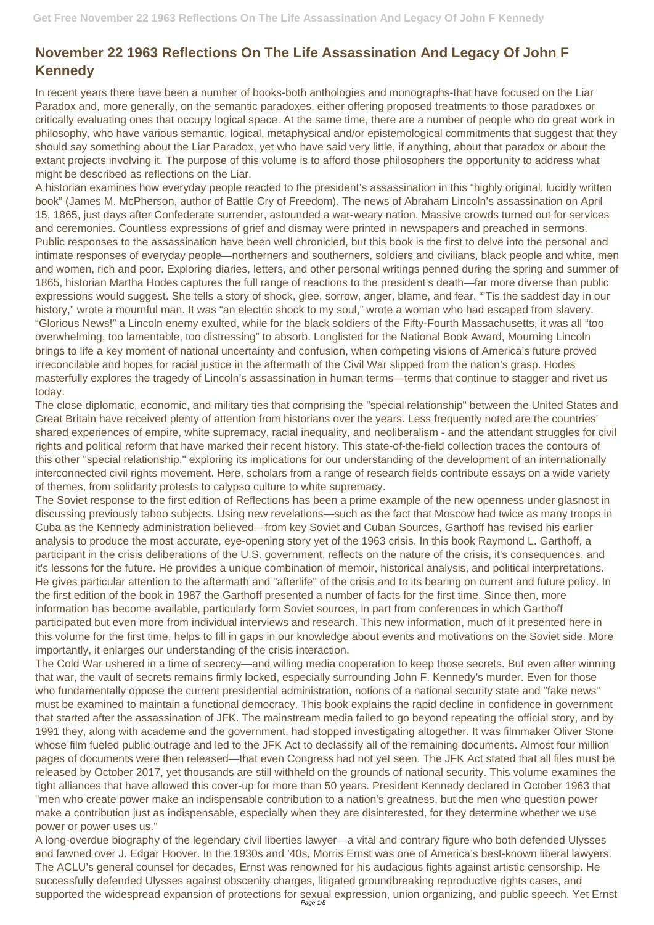## **November 22 1963 Reflections On The Life Assassination And Legacy Of John F Kennedy**

In recent years there have been a number of books-both anthologies and monographs-that have focused on the Liar Paradox and, more generally, on the semantic paradoxes, either offering proposed treatments to those paradoxes or critically evaluating ones that occupy logical space. At the same time, there are a number of people who do great work in philosophy, who have various semantic, logical, metaphysical and/or epistemological commitments that suggest that they should say something about the Liar Paradox, yet who have said very little, if anything, about that paradox or about the extant projects involving it. The purpose of this volume is to afford those philosophers the opportunity to address what might be described as reflections on the Liar.

A historian examines how everyday people reacted to the president's assassination in this "highly original, lucidly written book" (James M. McPherson, author of Battle Cry of Freedom). The news of Abraham Lincoln's assassination on April 15, 1865, just days after Confederate surrender, astounded a war-weary nation. Massive crowds turned out for services and ceremonies. Countless expressions of grief and dismay were printed in newspapers and preached in sermons. Public responses to the assassination have been well chronicled, but this book is the first to delve into the personal and intimate responses of everyday people—northerners and southerners, soldiers and civilians, black people and white, men and women, rich and poor. Exploring diaries, letters, and other personal writings penned during the spring and summer of 1865, historian Martha Hodes captures the full range of reactions to the president's death—far more diverse than public expressions would suggest. She tells a story of shock, glee, sorrow, anger, blame, and fear. "'Tis the saddest day in our history," wrote a mournful man. It was "an electric shock to my soul," wrote a woman who had escaped from slavery. "Glorious News!" a Lincoln enemy exulted, while for the black soldiers of the Fifty-Fourth Massachusetts, it was all "too overwhelming, too lamentable, too distressing" to absorb. Longlisted for the National Book Award, Mourning Lincoln brings to life a key moment of national uncertainty and confusion, when competing visions of America's future proved irreconcilable and hopes for racial justice in the aftermath of the Civil War slipped from the nation's grasp. Hodes masterfully explores the tragedy of Lincoln's assassination in human terms—terms that continue to stagger and rivet us today.

The close diplomatic, economic, and military ties that comprising the "special relationship" between the United States and Great Britain have received plenty of attention from historians over the years. Less frequently noted are the countries' shared experiences of empire, white supremacy, racial inequality, and neoliberalism - and the attendant struggles for civil rights and political reform that have marked their recent history. This state-of-the-field collection traces the contours of this other "special relationship," exploring its implications for our understanding of the development of an internationally interconnected civil rights movement. Here, scholars from a range of research fields contribute essays on a wide variety of themes, from solidarity protests to calypso culture to white supremacy.

A long-overdue biography of the legendary civil liberties lawyer—a vital and contrary figure who both defended Ulysses and fawned over J. Edgar Hoover. In the 1930s and '40s, Morris Ernst was one of America's best-known liberal lawyers. The ACLU's general counsel for decades, Ernst was renowned for his audacious fights against artistic censorship. He successfully defended Ulysses against obscenity charges, litigated groundbreaking reproductive rights cases, and supported the widespread expansion of protections for sexual expression, union organizing, and public speech. Yet Ernst

The Soviet response to the first edition of Reflections has been a prime example of the new openness under glasnost in discussing previously taboo subjects. Using new revelations—such as the fact that Moscow had twice as many troops in Cuba as the Kennedy administration believed—from key Soviet and Cuban Sources, Garthoff has revised his earlier analysis to produce the most accurate, eye-opening story yet of the 1963 crisis. In this book Raymond L. Garthoff, a participant in the crisis deliberations of the U.S. government, reflects on the nature of the crisis, it's consequences, and it's lessons for the future. He provides a unique combination of memoir, historical analysis, and political interpretations. He gives particular attention to the aftermath and "afterlife" of the crisis and to its bearing on current and future policy. In the first edition of the book in 1987 the Garthoff presented a number of facts for the first time. Since then, more information has become available, particularly form Soviet sources, in part from conferences in which Garthoff participated but even more from individual interviews and research. This new information, much of it presented here in this volume for the first time, helps to fill in gaps in our knowledge about events and motivations on the Soviet side. More importantly, it enlarges our understanding of the crisis interaction.

The Cold War ushered in a time of secrecy—and willing media cooperation to keep those secrets. But even after winning that war, the vault of secrets remains firmly locked, especially surrounding John F. Kennedy's murder. Even for those who fundamentally oppose the current presidential administration, notions of a national security state and "fake news"

must be examined to maintain a functional democracy. This book explains the rapid decline in confidence in government that started after the assassination of JFK. The mainstream media failed to go beyond repeating the official story, and by 1991 they, along with academe and the government, had stopped investigating altogether. It was filmmaker Oliver Stone whose film fueled public outrage and led to the JFK Act to declassify all of the remaining documents. Almost four million pages of documents were then released—that even Congress had not yet seen. The JFK Act stated that all files must be released by October 2017, yet thousands are still withheld on the grounds of national security. This volume examines the tight alliances that have allowed this cover-up for more than 50 years. President Kennedy declared in October 1963 that "men who create power make an indispensable contribution to a nation's greatness, but the men who question power make a contribution just as indispensable, especially when they are disinterested, for they determine whether we use power or power uses us."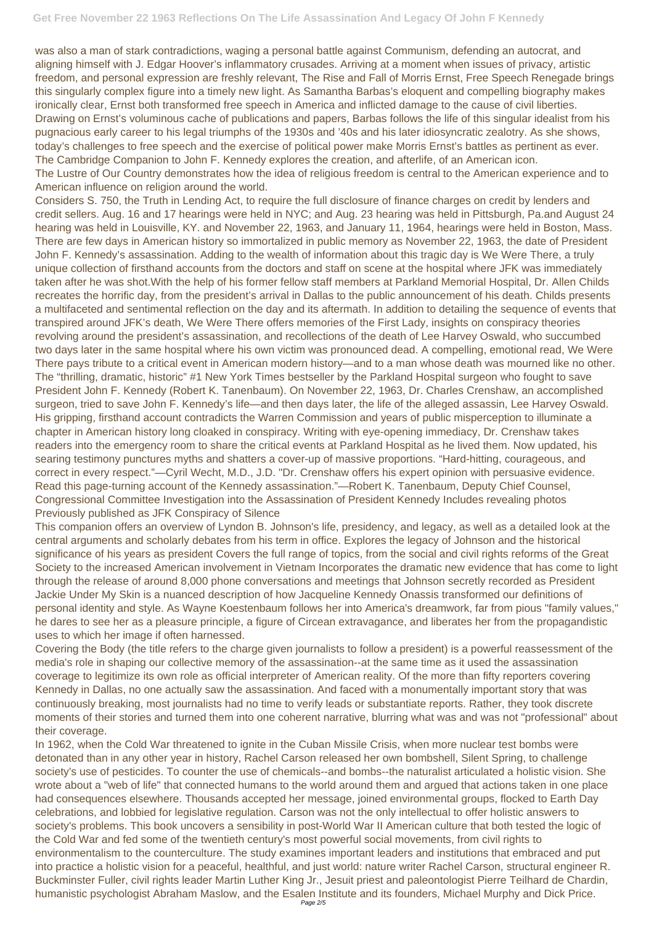was also a man of stark contradictions, waging a personal battle against Communism, defending an autocrat, and aligning himself with J. Edgar Hoover's inflammatory crusades. Arriving at a moment when issues of privacy, artistic freedom, and personal expression are freshly relevant, The Rise and Fall of Morris Ernst, Free Speech Renegade brings this singularly complex figure into a timely new light. As Samantha Barbas's eloquent and compelling biography makes ironically clear, Ernst both transformed free speech in America and inflicted damage to the cause of civil liberties. Drawing on Ernst's voluminous cache of publications and papers, Barbas follows the life of this singular idealist from his pugnacious early career to his legal triumphs of the 1930s and '40s and his later idiosyncratic zealotry. As she shows, today's challenges to free speech and the exercise of political power make Morris Ernst's battles as pertinent as ever. The Cambridge Companion to John F. Kennedy explores the creation, and afterlife, of an American icon. The Lustre of Our Country demonstrates how the idea of religious freedom is central to the American experience and to American influence on religion around the world.

Considers S. 750, the Truth in Lending Act, to require the full disclosure of finance charges on credit by lenders and credit sellers. Aug. 16 and 17 hearings were held in NYC; and Aug. 23 hearing was held in Pittsburgh, Pa.and August 24 hearing was held in Louisville, KY. and November 22, 1963, and January 11, 1964, hearings were held in Boston, Mass. There are few days in American history so immortalized in public memory as November 22, 1963, the date of President John F. Kennedy's assassination. Adding to the wealth of information about this tragic day is We Were There, a truly unique collection of firsthand accounts from the doctors and staff on scene at the hospital where JFK was immediately taken after he was shot.With the help of his former fellow staff members at Parkland Memorial Hospital, Dr. Allen Childs recreates the horrific day, from the president's arrival in Dallas to the public announcement of his death. Childs presents a multifaceted and sentimental reflection on the day and its aftermath. In addition to detailing the sequence of events that transpired around JFK's death, We Were There offers memories of the First Lady, insights on conspiracy theories revolving around the president's assassination, and recollections of the death of Lee Harvey Oswald, who succumbed two days later in the same hospital where his own victim was pronounced dead. A compelling, emotional read, We Were There pays tribute to a critical event in American modern history—and to a man whose death was mourned like no other. The "thrilling, dramatic, historic" #1 New York Times bestseller by the Parkland Hospital surgeon who fought to save President John F. Kennedy (Robert K. Tanenbaum). On November 22, 1963, Dr. Charles Crenshaw, an accomplished surgeon, tried to save John F. Kennedy's life—and then days later, the life of the alleged assassin, Lee Harvey Oswald. His gripping, firsthand account contradicts the Warren Commission and years of public misperception to illuminate a chapter in American history long cloaked in conspiracy. Writing with eye-opening immediacy, Dr. Crenshaw takes readers into the emergency room to share the critical events at Parkland Hospital as he lived them. Now updated, his searing testimony punctures myths and shatters a cover-up of massive proportions. "Hard-hitting, courageous, and correct in every respect."—Cyril Wecht, M.D., J.D. "Dr. Crenshaw offers his expert opinion with persuasive evidence. Read this page-turning account of the Kennedy assassination."—Robert K. Tanenbaum, Deputy Chief Counsel, Congressional Committee Investigation into the Assassination of President Kennedy Includes revealing photos Previously published as JFK Conspiracy of Silence

This companion offers an overview of Lyndon B. Johnson's life, presidency, and legacy, as well as a detailed look at the central arguments and scholarly debates from his term in office. Explores the legacy of Johnson and the historical significance of his years as president Covers the full range of topics, from the social and civil rights reforms of the Great Society to the increased American involvement in Vietnam Incorporates the dramatic new evidence that has come to light through the release of around 8,000 phone conversations and meetings that Johnson secretly recorded as President Jackie Under My Skin is a nuanced description of how Jacqueline Kennedy Onassis transformed our definitions of personal identity and style. As Wayne Koestenbaum follows her into America's dreamwork, far from pious "family values," he dares to see her as a pleasure principle, a figure of Circean extravagance, and liberates her from the propagandistic uses to which her image if often harnessed.

Covering the Body (the title refers to the charge given journalists to follow a president) is a powerful reassessment of the media's role in shaping our collective memory of the assassination--at the same time as it used the assassination coverage to legitimize its own role as official interpreter of American reality. Of the more than fifty reporters covering Kennedy in Dallas, no one actually saw the assassination. And faced with a monumentally important story that was

continuously breaking, most journalists had no time to verify leads or substantiate reports. Rather, they took discrete moments of their stories and turned them into one coherent narrative, blurring what was and was not "professional" about their coverage.

In 1962, when the Cold War threatened to ignite in the Cuban Missile Crisis, when more nuclear test bombs were detonated than in any other year in history, Rachel Carson released her own bombshell, Silent Spring, to challenge society's use of pesticides. To counter the use of chemicals--and bombs--the naturalist articulated a holistic vision. She wrote about a "web of life" that connected humans to the world around them and argued that actions taken in one place had consequences elsewhere. Thousands accepted her message, joined environmental groups, flocked to Earth Day celebrations, and lobbied for legislative regulation. Carson was not the only intellectual to offer holistic answers to society's problems. This book uncovers a sensibility in post-World War II American culture that both tested the logic of the Cold War and fed some of the twentieth century's most powerful social movements, from civil rights to environmentalism to the counterculture. The study examines important leaders and institutions that embraced and put into practice a holistic vision for a peaceful, healthful, and just world: nature writer Rachel Carson, structural engineer R. Buckminster Fuller, civil rights leader Martin Luther King Jr., Jesuit priest and paleontologist Pierre Teilhard de Chardin, humanistic psychologist Abraham Maslow, and the Esalen Institute and its founders, Michael Murphy and Dick Price. Page 2/5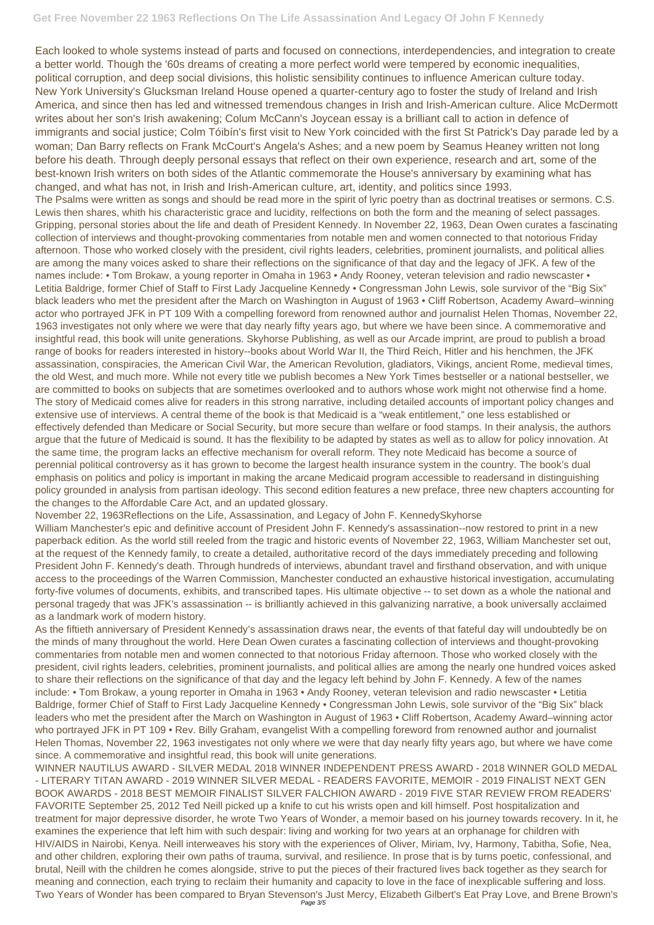Each looked to whole systems instead of parts and focused on connections, interdependencies, and integration to create a better world. Though the '60s dreams of creating a more perfect world were tempered by economic inequalities, political corruption, and deep social divisions, this holistic sensibility continues to influence American culture today. New York University's Glucksman Ireland House opened a quarter-century ago to foster the study of Ireland and Irish America, and since then has led and witnessed tremendous changes in Irish and Irish-American culture. Alice McDermott writes about her son's Irish awakening; Colum McCann's Joycean essay is a brilliant call to action in defence of immigrants and social justice; Colm Tóibín's first visit to New York coincided with the first St Patrick's Day parade led by a woman; Dan Barry reflects on Frank McCourt's Angela's Ashes; and a new poem by Seamus Heaney written not long before his death. Through deeply personal essays that reflect on their own experience, research and art, some of the best-known Irish writers on both sides of the Atlantic commemorate the House's anniversary by examining what has changed, and what has not, in Irish and Irish-American culture, art, identity, and politics since 1993. The Psalms were written as songs and should be read more in the spirit of lyric poetry than as doctrinal treatises or sermons. C.S. Lewis then shares, whith his characteristic grace and lucidity, relfections on both the form and the meaning of select passages. Gripping, personal stories about the life and death of President Kennedy. In November 22, 1963, Dean Owen curates a fascinating collection of interviews and thought-provoking commentaries from notable men and women connected to that notorious Friday afternoon. Those who worked closely with the president, civil rights leaders, celebrities, prominent journalists, and political allies are among the many voices asked to share their reflections on the significance of that day and the legacy of JFK. A few of the names include: • Tom Brokaw, a young reporter in Omaha in 1963 • Andy Rooney, veteran television and radio newscaster • Letitia Baldrige, former Chief of Staff to First Lady Jacqueline Kennedy • Congressman John Lewis, sole survivor of the "Big Six" black leaders who met the president after the March on Washington in August of 1963 • Cliff Robertson, Academy Award–winning actor who portrayed JFK in PT 109 With a compelling foreword from renowned author and journalist Helen Thomas, November 22, 1963 investigates not only where we were that day nearly fifty years ago, but where we have been since. A commemorative and insightful read, this book will unite generations. Skyhorse Publishing, as well as our Arcade imprint, are proud to publish a broad range of books for readers interested in history--books about World War II, the Third Reich, Hitler and his henchmen, the JFK assassination, conspiracies, the American Civil War, the American Revolution, gladiators, Vikings, ancient Rome, medieval times, the old West, and much more. While not every title we publish becomes a New York Times bestseller or a national bestseller, we are committed to books on subjects that are sometimes overlooked and to authors whose work might not otherwise find a home. The story of Medicaid comes alive for readers in this strong narrative, including detailed accounts of important policy changes and extensive use of interviews. A central theme of the book is that Medicaid is a "weak entitlement," one less established or effectively defended than Medicare or Social Security, but more secure than welfare or food stamps. In their analysis, the authors argue that the future of Medicaid is sound. It has the flexibility to be adapted by states as well as to allow for policy innovation. At the same time, the program lacks an effective mechanism for overall reform. They note Medicaid has become a source of perennial political controversy as it has grown to become the largest health insurance system in the country. The book's dual emphasis on politics and policy is important in making the arcane Medicaid program accessible to readersand in distinguishing policy grounded in analysis from partisan ideology. This second edition features a new preface, three new chapters accounting for the changes to the Affordable Care Act, and an updated glossary.

November 22, 1963Reflections on the Life, Assassination, and Legacy of John F. KennedySkyhorse

William Manchester's epic and definitive account of President John F. Kennedy's assassination--now restored to print in a new paperback edition. As the world still reeled from the tragic and historic events of November 22, 1963, William Manchester set out, at the request of the Kennedy family, to create a detailed, authoritative record of the days immediately preceding and following President John F. Kennedy's death. Through hundreds of interviews, abundant travel and firsthand observation, and with unique access to the proceedings of the Warren Commission, Manchester conducted an exhaustive historical investigation, accumulating forty-five volumes of documents, exhibits, and transcribed tapes. His ultimate objective -- to set down as a whole the national and personal tragedy that was JFK's assassination -- is brilliantly achieved in this galvanizing narrative, a book universally acclaimed as a landmark work of modern history.

As the fiftieth anniversary of President Kennedy's assassination draws near, the events of that fateful day will undoubtedly be on the minds of many throughout the world. Here Dean Owen curates a fascinating collection of interviews and thought-provoking commentaries from notable men and women connected to that notorious Friday afternoon. Those who worked closely with the president, civil rights leaders, celebrities, prominent journalists, and political allies are among the nearly one hundred voices asked to share their reflections on the significance of that day and the legacy left behind by John F. Kennedy. A few of the names include: • Tom Brokaw, a young reporter in Omaha in 1963 • Andy Rooney, veteran television and radio newscaster • Letitia

Baldrige, former Chief of Staff to First Lady Jacqueline Kennedy • Congressman John Lewis, sole survivor of the "Big Six" black leaders who met the president after the March on Washington in August of 1963 • Cliff Robertson, Academy Award–winning actor who portrayed JFK in PT 109 • Rev. Billy Graham, evangelist With a compelling foreword from renowned author and journalist Helen Thomas, November 22, 1963 investigates not only where we were that day nearly fifty years ago, but where we have come since. A commemorative and insightful read, this book will unite generations.

WINNER NAUTILUS AWARD - SILVER MEDAL 2018 WINNER INDEPENDENT PRESS AWARD - 2018 WINNER GOLD MEDAL - LITERARY TITAN AWARD - 2019 WINNER SILVER MEDAL - READERS FAVORITE, MEMOIR - 2019 FINALIST NEXT GEN BOOK AWARDS - 2018 BEST MEMOIR FINALIST SILVER FALCHION AWARD - 2019 FIVE STAR REVIEW FROM READERS' FAVORITE September 25, 2012 Ted Neill picked up a knife to cut his wrists open and kill himself. Post hospitalization and treatment for major depressive disorder, he wrote Two Years of Wonder, a memoir based on his journey towards recovery. In it, he examines the experience that left him with such despair: living and working for two years at an orphanage for children with HIV/AIDS in Nairobi, Kenya. Neill interweaves his story with the experiences of Oliver, Miriam, Ivy, Harmony, Tabitha, Sofie, Nea, and other children, exploring their own paths of trauma, survival, and resilience. In prose that is by turns poetic, confessional, and brutal, Neill with the children he comes alongside, strive to put the pieces of their fractured lives back together as they search for meaning and connection, each trying to reclaim their humanity and capacity to love in the face of inexplicable suffering and loss. Two Years of Wonder has been compared to Bryan Stevenson's Just Mercy, Elizabeth Gilbert's Eat Pray Love, and Brene Brown's Page 3/5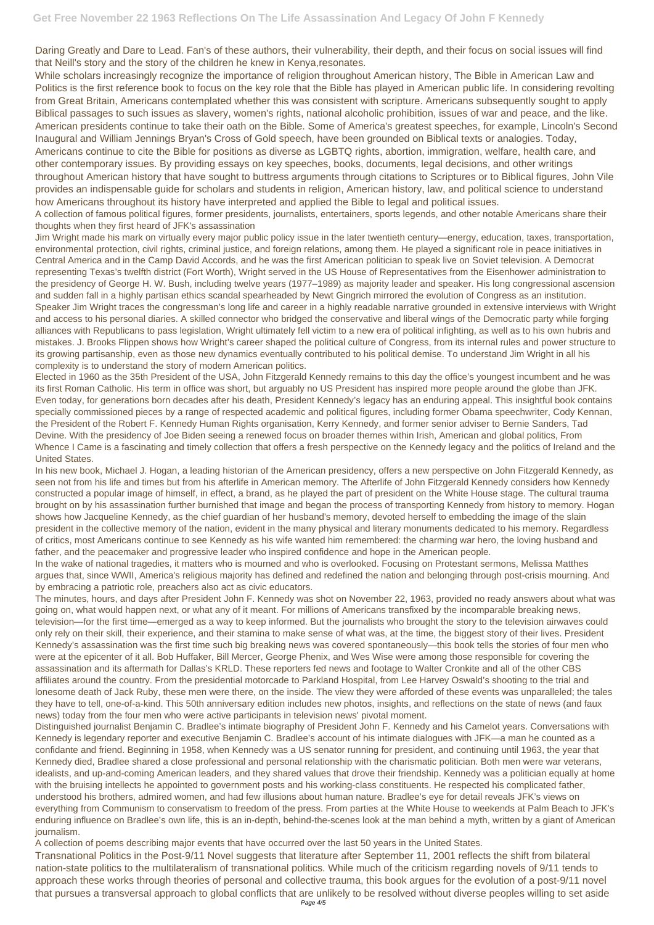Daring Greatly and Dare to Lead. Fan's of these authors, their vulnerability, their depth, and their focus on social issues will find that Neill's story and the story of the children he knew in Kenya,resonates.

While scholars increasingly recognize the importance of religion throughout American history, The Bible in American Law and Politics is the first reference book to focus on the key role that the Bible has played in American public life. In considering revolting from Great Britain, Americans contemplated whether this was consistent with scripture. Americans subsequently sought to apply Biblical passages to such issues as slavery, women's rights, national alcoholic prohibition, issues of war and peace, and the like. American presidents continue to take their oath on the Bible. Some of America's greatest speeches, for example, Lincoln's Second Inaugural and William Jennings Bryan's Cross of Gold speech, have been grounded on Biblical texts or analogies. Today, Americans continue to cite the Bible for positions as diverse as LGBTQ rights, abortion, immigration, welfare, health care, and other contemporary issues. By providing essays on key speeches, books, documents, legal decisions, and other writings throughout American history that have sought to buttress arguments through citations to Scriptures or to Biblical figures, John Vile provides an indispensable guide for scholars and students in religion, American history, law, and political science to understand how Americans throughout its history have interpreted and applied the Bible to legal and political issues.

A collection of famous political figures, former presidents, journalists, entertainers, sports legends, and other notable Americans share their thoughts when they first heard of JFK's assassination

Jim Wright made his mark on virtually every major public policy issue in the later twentieth century—energy, education, taxes, transportation, environmental protection, civil rights, criminal justice, and foreign relations, among them. He played a significant role in peace initiatives in Central America and in the Camp David Accords, and he was the first American politician to speak live on Soviet television. A Democrat representing Texas's twelfth district (Fort Worth), Wright served in the US House of Representatives from the Eisenhower administration to the presidency of George H. W. Bush, including twelve years (1977–1989) as majority leader and speaker. His long congressional ascension and sudden fall in a highly partisan ethics scandal spearheaded by Newt Gingrich mirrored the evolution of Congress as an institution. Speaker Jim Wright traces the congressman's long life and career in a highly readable narrative grounded in extensive interviews with Wright and access to his personal diaries. A skilled connector who bridged the conservative and liberal wings of the Democratic party while forging alliances with Republicans to pass legislation, Wright ultimately fell victim to a new era of political infighting, as well as to his own hubris and mistakes. J. Brooks Flippen shows how Wright's career shaped the political culture of Congress, from its internal rules and power structure to its growing partisanship, even as those new dynamics eventually contributed to his political demise. To understand Jim Wright in all his complexity is to understand the story of modern American politics.

Elected in 1960 as the 35th President of the USA, John Fitzgerald Kennedy remains to this day the office's youngest incumbent and he was its first Roman Catholic. His term in office was short, but arguably no US President has inspired more people around the globe than JFK. Even today, for generations born decades after his death, President Kennedy's legacy has an enduring appeal. This insightful book contains specially commissioned pieces by a range of respected academic and political figures, including former Obama speechwriter, Cody Kennan, the President of the Robert F. Kennedy Human Rights organisation, Kerry Kennedy, and former senior adviser to Bernie Sanders, Tad Devine. With the presidency of Joe Biden seeing a renewed focus on broader themes within Irish, American and global politics, From Whence I Came is a fascinating and timely collection that offers a fresh perspective on the Kennedy legacy and the politics of Ireland and the United States.

In his new book, Michael J. Hogan, a leading historian of the American presidency, offers a new perspective on John Fitzgerald Kennedy, as seen not from his life and times but from his afterlife in American memory. The Afterlife of John Fitzgerald Kennedy considers how Kennedy constructed a popular image of himself, in effect, a brand, as he played the part of president on the White House stage. The cultural trauma brought on by his assassination further burnished that image and began the process of transporting Kennedy from history to memory. Hogan shows how Jacqueline Kennedy, as the chief guardian of her husband's memory, devoted herself to embedding the image of the slain president in the collective memory of the nation, evident in the many physical and literary monuments dedicated to his memory. Regardless of critics, most Americans continue to see Kennedy as his wife wanted him remembered: the charming war hero, the loving husband and father, and the peacemaker and progressive leader who inspired confidence and hope in the American people.

In the wake of national tragedies, it matters who is mourned and who is overlooked. Focusing on Protestant sermons, Melissa Matthes argues that, since WWII, America's religious majority has defined and redefined the nation and belonging through post-crisis mourning. And by embracing a patriotic role, preachers also act as civic educators.

The minutes, hours, and days after President John F. Kennedy was shot on November 22, 1963, provided no ready answers about what was going on, what would happen next, or what any of it meant. For millions of Americans transfixed by the incomparable breaking news, television—for the first time—emerged as a way to keep informed. But the journalists who brought the story to the television airwaves could only rely on their skill, their experience, and their stamina to make sense of what was, at the time, the biggest story of their lives. President Kennedy's assassination was the first time such big breaking news was covered spontaneously—this book tells the stories of four men who were at the epicenter of it all. Bob Huffaker, Bill Mercer, George Phenix, and Wes Wise were among those responsible for covering the assassination and its aftermath for Dallas's KRLD. These reporters fed news and footage to Walter Cronkite and all of the other CBS affiliates around the country. From the presidential motorcade to Parkland Hospital, from Lee Harvey Oswald's shooting to the trial and lonesome death of Jack Ruby, these men were there, on the inside. The view they were afforded of these events was unparalleled; the tales

they have to tell, one-of-a-kind. This 50th anniversary edition includes new photos, insights, and reflections on the state of news (and faux news) today from the four men who were active participants in television news' pivotal moment.

Distinguished journalist Benjamin C. Bradlee's intimate biography of President John F. Kennedy and his Camelot years. Conversations with Kennedy is legendary reporter and executive Benjamin C. Bradlee's account of his intimate dialogues with JFK—a man he counted as a confidante and friend. Beginning in 1958, when Kennedy was a US senator running for president, and continuing until 1963, the year that Kennedy died, Bradlee shared a close professional and personal relationship with the charismatic politician. Both men were war veterans, idealists, and up-and-coming American leaders, and they shared values that drove their friendship. Kennedy was a politician equally at home with the bruising intellects he appointed to government posts and his working-class constituents. He respected his complicated father, understood his brothers, admired women, and had few illusions about human nature. Bradlee's eye for detail reveals JFK's views on everything from Communism to conservatism to freedom of the press. From parties at the White House to weekends at Palm Beach to JFK's enduring influence on Bradlee's own life, this is an in-depth, behind-the-scenes look at the man behind a myth, written by a giant of American journalism.

A collection of poems describing major events that have occurred over the last 50 years in the United States.

Transnational Politics in the Post-9/11 Novel suggests that literature after September 11, 2001 reflects the shift from bilateral nation-state politics to the multilateralism of transnational politics. While much of the criticism regarding novels of 9/11 tends to approach these works through theories of personal and collective trauma, this book argues for the evolution of a post-9/11 novel that pursues a transversal approach to global conflicts that are unlikely to be resolved without diverse peoples willing to set aside Page 4/5